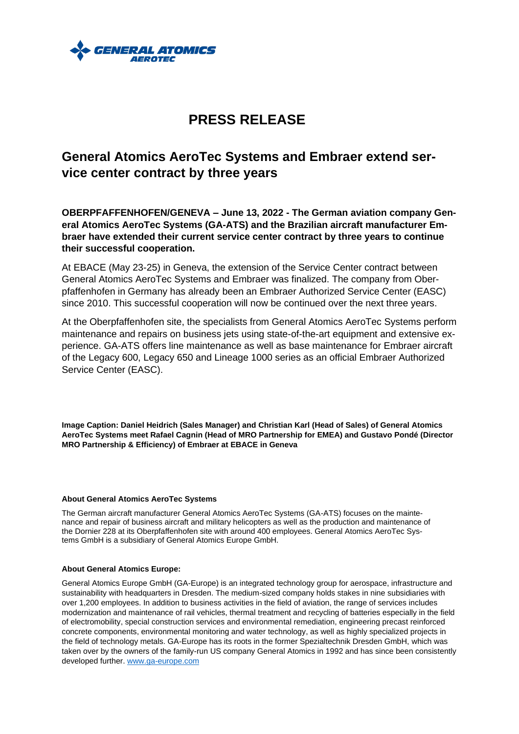

# **PRESS RELEASE**

## **General Atomics AeroTec Systems and Embraer extend service center contract by three years**

**OBERPFAFFENHOFEN/GENEVA – June 13, 2022 - The German aviation company General Atomics AeroTec Systems (GA-ATS) and the Brazilian aircraft manufacturer Embraer have extended their current service center contract by three years to continue their successful cooperation.**

At EBACE (May 23-25) in Geneva, the extension of the Service Center contract between General Atomics AeroTec Systems and Embraer was finalized. The company from Oberpfaffenhofen in Germany has already been an Embraer Authorized Service Center (EASC) since 2010. This successful cooperation will now be continued over the next three years.

At the Oberpfaffenhofen site, the specialists from General Atomics AeroTec Systems perform maintenance and repairs on business jets using state-of-the-art equipment and extensive experience. GA-ATS offers line maintenance as well as base maintenance for Embraer aircraft of the Legacy 600, Legacy 650 and Lineage 1000 series as an official Embraer Authorized Service Center (EASC).

**Image Caption: Daniel Heidrich (Sales Manager) and Christian Karl (Head of Sales) of General Atomics AeroTec Systems meet Rafael Cagnin (Head of MRO Partnership for EMEA) and Gustavo Pondé (Director MRO Partnership & Efficiency) of Embraer at EBACE in Geneva**

#### **About General Atomics AeroTec Systems**

The German aircraft manufacturer General Atomics AeroTec Systems (GA-ATS) focuses on the maintenance and repair of business aircraft and military helicopters as well as the production and maintenance of the Dornier 228 at its Oberpfaffenhofen site with around 400 employees. General Atomics AeroTec Systems GmbH is a subsidiary of General Atomics Europe GmbH.

#### **About General Atomics Europe:**

General Atomics Europe GmbH (GA-Europe) is an integrated technology group for aerospace, infrastructure and sustainability with headquarters in Dresden. The medium-sized company holds stakes in nine subsidiaries with over 1,200 employees. In addition to business activities in the field of aviation, the range of services includes modernization and maintenance of rail vehicles, thermal treatment and recycling of batteries especially in the field of electromobility, special construction services and environmental remediation, engineering precast reinforced concrete components, environmental monitoring and water technology, as well as highly specialized projects in the field of technology metals. GA-Europe has its roots in the former Spezialtechnik Dresden GmbH, which was taken over by the owners of the family-run US company General Atomics in 1992 and has since been consistently developed further. [www.ga-europe.com](http://www.ga-europe.com/)